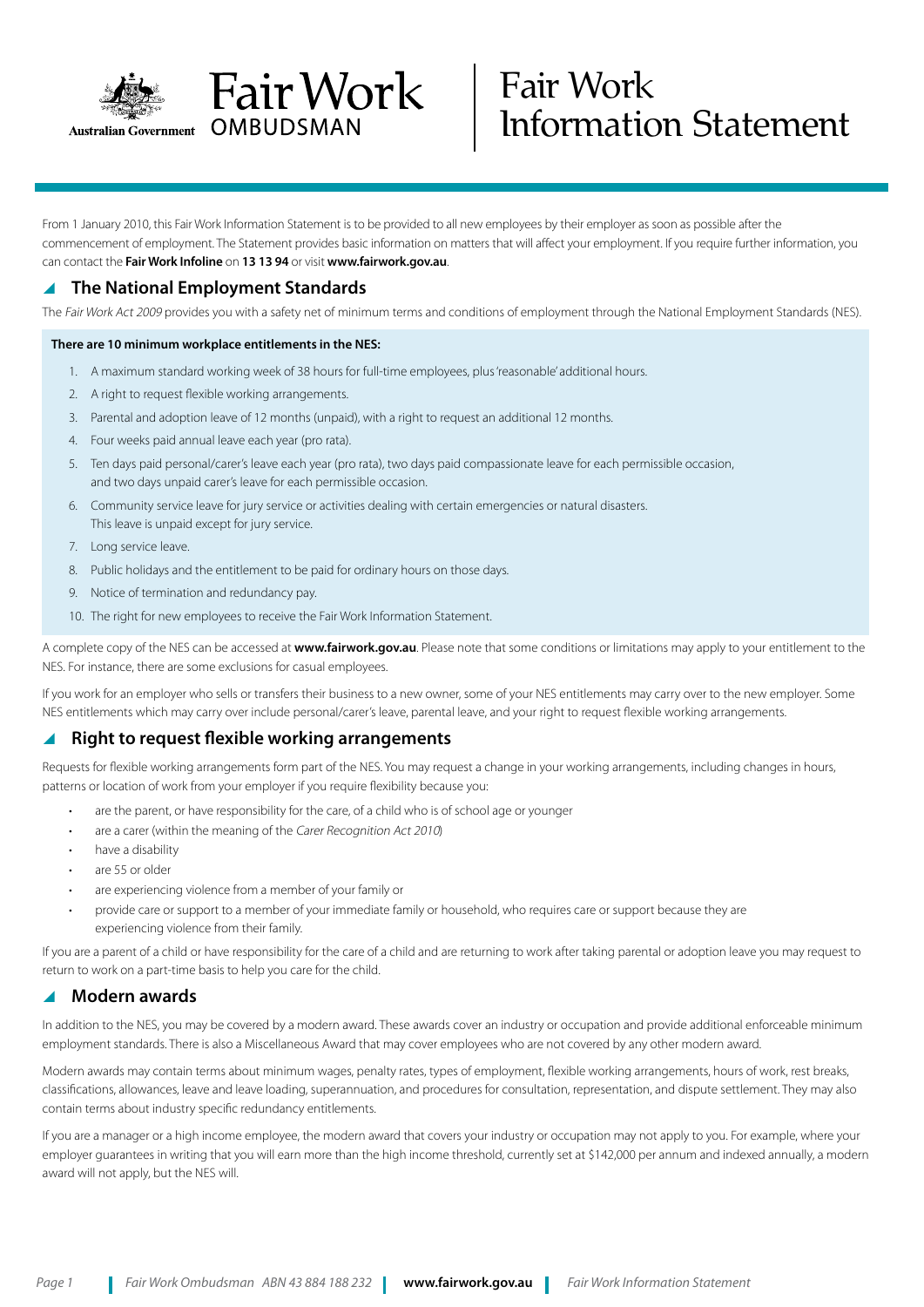

# Fair Work Information Statement

From 1 January 2010, this Fair Work Information Statement is to be provided to all new employees by their employer as soon as possible after the commencement of employment. The Statement provides basic information on matters that will affect your employment. If you require further information, you can contact the **Fair Work Infoline** on **13 13 94** or visit **www.fairwork.gov.au**.

# **The National Employment Standards**

The Fair Work Act 2009 provides you with a safety net of minimum terms and conditions of employment through the National Employment Standards (NES).

#### **There are 10 minimum workplace entitlements in the NES:**

- 1. A maximum standard working week of 38 hours for full-time employees, plus 'reasonable' additional hours.
- 2. A right to request flexible working arrangements.
- 3. Parental and adoption leave of 12 months (unpaid), with a right to request an additional 12 months.

Fair Work

OMBUDSMAN

- 4. Four weeks paid annual leave each year (pro rata).
- 5. Ten days paid personal/carer's leave each year (pro rata), two days paid compassionate leave for each permissible occasion, and two days unpaid carer's leave for each permissible occasion.
- 6. Community service leave for jury service or activities dealing with certain emergencies or natural disasters. This leave is unpaid except for jury service.
- 7. Long service leave.
- 8. Public holidays and the entitlement to be paid for ordinary hours on those days.
- 9. Notice of termination and redundancy pay.
- 10. The right for new employees to receive the Fair Work Information Statement.

A complete copy of the NES can be accessed at **www.fairwork.gov.au**. Please note that some conditions or limitations may apply to your entitlement to the NES. For instance, there are some exclusions for casual employees.

If you work for an employer who sells or transfers their business to a new owner, some of your NES entitlements may carry over to the new employer. Some NES entitlements which may carry over include personal/carer's leave, parental leave, and your right to request flexible working arrangements.

#### **Right to request flexible working arrangements**

Requests for flexible working arrangements form part of the NES. You may request a change in your working arrangements, including changes in hours, patterns or location of work from your employer if you require flexibility because you:

- are the parent, or have responsibility for the care, of a child who is of school age or younger
- are a carer (within the meaning of the Carer Recognition Act 2010)
- have a disability
- are 55 or older
- are experiencing violence from a member of your family or
- provide care or support to a member of your immediate family or household, who requires care or support because they are experiencing violence from their family.

If you are a parent of a child or have responsibility for the care of a child and are returning to work after taking parental or adoption leave you may request to return to work on a part-time basis to help you care for the child.

#### **Modern awards**

In addition to the NES, you may be covered by a modern award. These awards cover an industry or occupation and provide additional enforceable minimum employment standards. There is also a Miscellaneous Award that may cover employees who are not covered by any other modern award.

Modern awards may contain terms about minimum wages, penalty rates, types of employment, flexible working arrangements, hours of work, rest breaks, classifications, allowances, leave and leave loading, superannuation, and procedures for consultation, representation, and dispute settlement. They may also contain terms about industry specific redundancy entitlements.

If you are a manager or a high income employee, the modern award that covers your industry or occupation may not apply to you. For example, where your employer quarantees in writing that you will earn more than the high income threshold, currently set at \$142,000 per annum and indexed annually, a modern award will not apply, but the NES will.